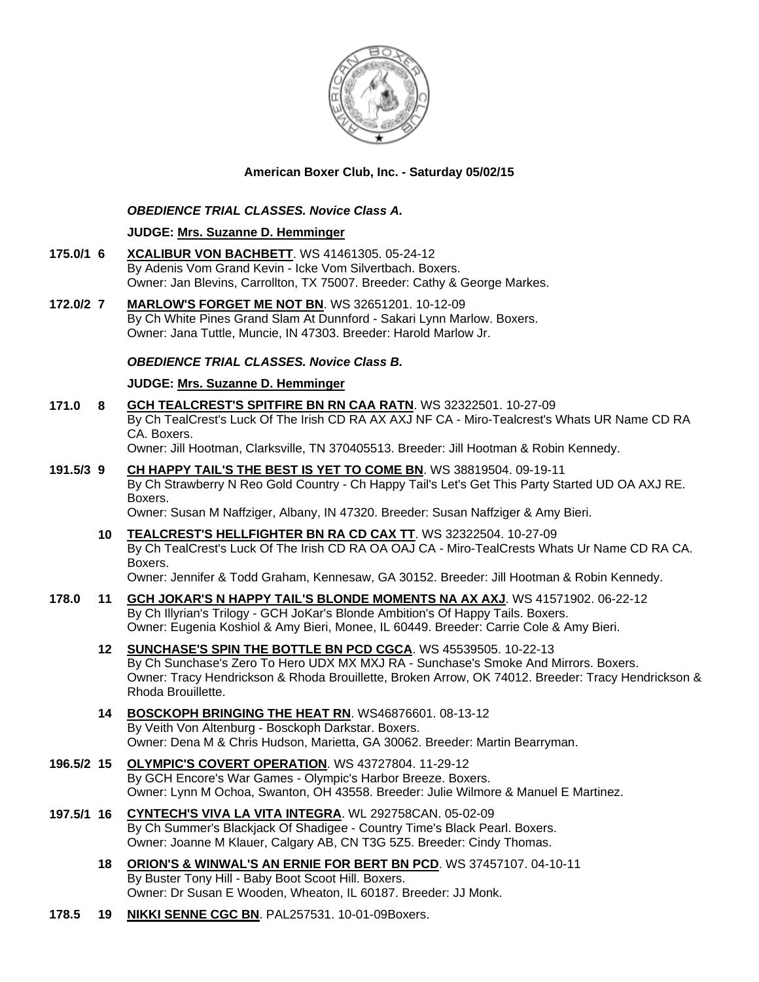

## **American Boxer Club, Inc. - Saturday 05/02/15**

## *OBEDIENCE TRIAL CLASSES. Novice Class A.*

### **JUDGE: [Mrs. Suzanne D. Hemminger](http://www.infodog.com/judges/15146/juddat.htm)**

- **175.0/1 6 [XCALIBUR VON BACHBETT](http://www.infodog.com/files/bdogrsl1.prg;makc=WS%2041461305;mdog=Xcalibur_Von_Bachbett;wins=all)**. WS 41461305. 05-24-12 By Adenis Vom Grand Kevin - Icke Vom Silvertbach. Boxers. Owner: Jan Blevins, Carrollton, TX 75007. Breeder: Cathy & George Markes.
- **172.0/2 7 [MARLOW'S FORGET ME NOT BN](http://www.infodog.com/files/bdogrsl1.prg;makc=WS%2032651201;mdog=Marlow_s_Forget_Me_Not_BN;wins=all)**. WS 32651201. 10-12-09 By Ch White Pines Grand Slam At Dunnford - Sakari Lynn Marlow. Boxers. Owner: Jana Tuttle, Muncie, IN 47303. Breeder: Harold Marlow Jr.

### *OBEDIENCE TRIAL CLASSES. Novice Class B.*

### **JUDGE: [Mrs. Suzanne D. Hemminger](http://www.infodog.com/judges/15146/juddat.htm)**

- **171.0 8 [GCH TEALCREST'S SPITFIRE BN RN CAA RATN](http://www.infodog.com/files/bdogrsl1.prg;makc=WS%2032322501;mdog=GCH_TealCrest_s_Spitfire_BN_RN_CAA_RATN;wins=all)**. WS 32322501. 10-27-09 By Ch TealCrest's Luck Of The Irish CD RA AX AXJ NF CA - Miro-Tealcrest's Whats UR Name CD RA CA. Boxers. Owner: Jill Hootman, Clarksville, TN 370405513. Breeder: Jill Hootman & Robin Kennedy.
- **191.5/3 9 [CH HAPPY TAIL'S THE BEST IS YET TO COME BN](http://www.infodog.com/files/bdogrsl1.prg;makc=WS%2038819504;mdog=Ch_Happy_Tail_s_The_Best_Is_Yet_To_Come_BN;wins=all)**. WS 38819504. 09-19-11 By Ch Strawberry N Reo Gold Country - Ch Happy Tail's Let's Get This Party Started UD OA AXJ RE. Boxers.

Owner: Susan M Naffziger, Albany, IN 47320. Breeder: Susan Naffziger & Amy Bieri.

- **10 [TEALCREST'S HELLFIGHTER BN RA CD CAX TT](http://www.infodog.com/files/bdogrsl1.prg;makc=WS%2032322504;mdog=TealCrest_s_Hellfighter_BN_RA_CD_CAX_TT;wins=all)**. WS 32322504. 10-27-09 By Ch TealCrest's Luck Of The Irish CD RA OA OAJ CA - Miro-TealCrests Whats Ur Name CD RA CA. Boxers. Owner: Jennifer & Todd Graham, Kennesaw, GA 30152. Breeder: Jill Hootman & Robin Kennedy.
- **178.0 11 [GCH JOKAR'S N HAPPY TAIL'S BLONDE MOMENTS NA AX AXJ](http://www.infodog.com/files/bdogrsl1.prg;makc=WS%2041571902;mdog=GCH_JoKar_s_N_Happy_Tail_s_Blonde_Moments_NA_AX_AXJ;wins=all)**. WS 41571902. 06-22-12 By Ch Illyrian's Trilogy - GCH JoKar's Blonde Ambition's Of Happy Tails. Boxers. Owner: Eugenia Koshiol & Amy Bieri, Monee, IL 60449. Breeder: Carrie Cole & Amy Bieri.
	- **12 [SUNCHASE'S SPIN THE BOTTLE BN PCD CGCA](http://www.infodog.com/files/bdogrsl1.prg;makc=WS%2045539505;mdog=Sunchase_s_Spin_The_Bottle_BN_PCD_CGCA;wins=all)**. WS 45539505. 10-22-13 By Ch Sunchase's Zero To Hero UDX MX MXJ RA - Sunchase's Smoke And Mirrors. Boxers. Owner: Tracy Hendrickson & Rhoda Brouillette, Broken Arrow, OK 74012. Breeder: Tracy Hendrickson & Rhoda Brouillette.
		- **14 [BOSCKOPH BRINGING THE HEAT RN](http://www.infodog.com/files/bdogrsl1.prg;makc=WS46876601;mdog=Bosckoph_Bringing_The_Heat_RN;wins=all)**. WS46876601. 08-13-12 By Veith Von Altenburg - Bosckoph Darkstar. Boxers. Owner: Dena M & Chris Hudson, Marietta, GA 30062. Breeder: Martin Bearryman.
- **196.5/2 15 [OLYMPIC'S COVERT OPERATION](http://www.infodog.com/files/bdogrsl1.prg;makc=WS%2043727804;mdog=Olympic_s_Covert_Operation;wins=all)**. WS 43727804. 11-29-12 By GCH Encore's War Games - Olympic's Harbor Breeze. Boxers. Owner: Lynn M Ochoa, Swanton, OH 43558. Breeder: Julie Wilmore & Manuel E Martinez.
- **197.5/1 16 [CYNTECH'S VIVA LA VITA INTEGRA](http://www.infodog.com/files/bdogrsl1.prg;makc=WL%20292758CAN;mdog=Cyntech_s_Viva_La_Vita_Integra;wins=all)**. WL 292758CAN. 05-02-09 By Ch Summer's Blackjack Of Shadigee - Country Time's Black Pearl. Boxers. Owner: Joanne M Klauer, Calgary AB, CN T3G 5Z5. Breeder: Cindy Thomas.
	- **18 [ORION'S & WINWAL'S AN ERNIE FOR BERT BN PCD](http://www.infodog.com/files/bdogrsl1.prg;makc=WS%2037457107;mdog=Orion_s_&_Winwal_s_An_Ernie_For_Bert_BN_PCD;wins=all)**. WS 37457107. 04-10-11 By Buster Tony Hill - Baby Boot Scoot Hill. Boxers. Owner: Dr Susan E Wooden, Wheaton, IL 60187. Breeder: JJ Monk.
- **178.5 19 [NIKKI SENNE CGC BN](http://www.infodog.com/files/bdogrsl1.prg;makc=PAL257531;mdog=Nikki_Senne_CGC_BN;wins=all)**. PAL257531. 10-01-09Boxers.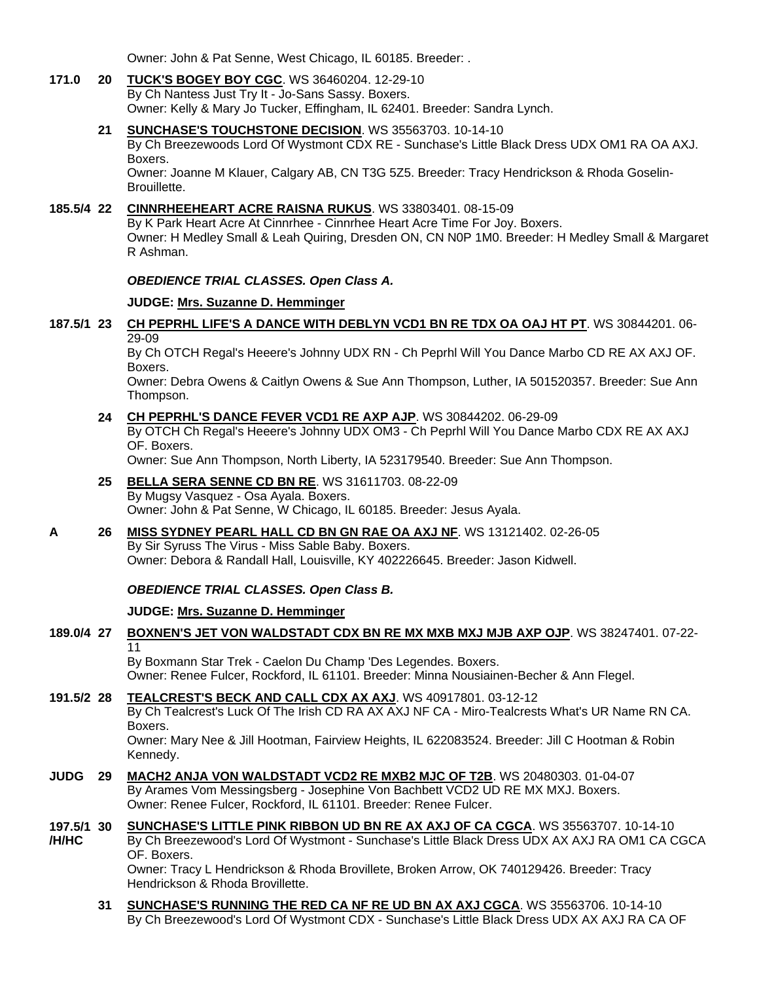Owner: John & Pat Senne, West Chicago, IL 60185. Breeder: .

#### **171.0 20 [TUCK'S BOGEY BOY CGC](http://www.infodog.com/files/bdogrsl1.prg;makc=WS%2036460204;mdog=Tuck_s_Bogey_Boy_CGC;wins=all)**. WS 36460204. 12-29-10 By Ch Nantess Just Try It - Jo-Sans Sassy. Boxers. Owner: Kelly & Mary Jo Tucker, Effingham, IL 62401. Breeder: Sandra Lynch.

**21 [SUNCHASE'S TOUCHSTONE DECISION](http://www.infodog.com/files/bdogrsl1.prg;makc=WS%2035563703;mdog=Sunchase_s_Touchstone_Decision;wins=all)**. WS 35563703. 10-14-10 By Ch Breezewoods Lord Of Wystmont CDX RE - Sunchase's Little Black Dress UDX OM1 RA OA AXJ.

Boxers.

Owner: Joanne M Klauer, Calgary AB, CN T3G 5Z5. Breeder: Tracy Hendrickson & Rhoda Goselin-Brouillette.

## **185.5/4 22 [CINNRHEEHEART ACRE RAISNA RUKUS](http://www.infodog.com/files/bdogrsl1.prg;makc=WS%2033803401;mdog=Cinnrheeheart_Acre_Raisna_Rukus;wins=all)**. WS 33803401. 08-15-09

By K Park Heart Acre At Cinnrhee - Cinnrhee Heart Acre Time For Joy. Boxers. Owner: H Medley Small & Leah Quiring, Dresden ON, CN N0P 1M0. Breeder: H Medley Small & Margaret R Ashman.

## *OBEDIENCE TRIAL CLASSES. Open Class A.*

### **JUDGE: [Mrs. Suzanne D. Hemminger](http://www.infodog.com/judges/15146/juddat.htm)**

### **187.5/1 23 [CH PEPRHL LIFE'S A DANCE WITH DEBLYN VCD1 BN RE TDX OA OAJ HT PT](http://www.infodog.com/files/bdogrsl1.prg;makc=WS%2030844201;mdog=Ch_Peprhl_Life_s_A_Dance_With_DebLyn_VCD1_BN_RE_TDX_OA_OAJ_HT_PT;wins=all)**. WS 30844201. 06- 29-09

By Ch OTCH Regal's Heeere's Johnny UDX RN - Ch Peprhl Will You Dance Marbo CD RE AX AXJ OF. Boxers.

Owner: Debra Owens & Caitlyn Owens & Sue Ann Thompson, Luther, IA 501520357. Breeder: Sue Ann Thompson.

### **24 [CH PEPRHL'S DANCE FEVER VCD1 RE AXP AJP](http://www.infodog.com/files/bdogrsl1.prg;makc=WS%2030844202;mdog=Ch_Peprhl_s_Dance_Fever_VCD1_RE_AXP_AJP;wins=all)**. WS 30844202. 06-29-09

By OTCH Ch Regal's Heeere's Johnny UDX OM3 - Ch Peprhl Will You Dance Marbo CDX RE AX AXJ OF. Boxers.

Owner: Sue Ann Thompson, North Liberty, IA 523179540. Breeder: Sue Ann Thompson.

## **25 [BELLA SERA SENNE CD BN RE](http://www.infodog.com/files/bdogrsl1.prg;makc=WS%2031611703;mdog=Bella_Sera_Senne_CD_BN_RE;wins=all)**. WS 31611703. 08-22-09

By Mugsy Vasquez - Osa Ayala. Boxers. Owner: John & Pat Senne, W Chicago, IL 60185. Breeder: Jesus Ayala.

## **A 26 [MISS SYDNEY PEARL HALL CD BN GN RAE OA AXJ NF](http://www.infodog.com/files/bdogrsl1.prg;makc=WS%2013121402;mdog=Miss_Sydney_Pearl_Hall_CD_BN_GN_RAE_OA_AXJ_NF;wins=all)**. WS 13121402. 02-26-05

By Sir Syruss The Virus - Miss Sable Baby. Boxers. Owner: Debora & Randall Hall, Louisville, KY 402226645. Breeder: Jason Kidwell.

### *OBEDIENCE TRIAL CLASSES. Open Class B.*

## **JUDGE: [Mrs. Suzanne D. Hemminger](http://www.infodog.com/judges/15146/juddat.htm)**

# **189.0/4 27 [BOXNEN'S JET VON WALDSTADT CDX BN RE MX MXB MXJ MJB AXP OJP](http://www.infodog.com/files/bdogrsl1.prg;makc=WS%2038247401;mdog=Boxnen_s_Jet_Von_Waldstadt_CDX_BN_RE_MX_MXB_MXJ_MJB_AXP_OJP;wins=all)**. WS 38247401. 07-22- 11

By Boxmann Star Trek - Caelon Du Champ 'Des Legendes. Boxers. Owner: Renee Fulcer, Rockford, IL 61101. Breeder: Minna Nousiainen-Becher & Ann Flegel.

### **191.5/2 28 [TEALCREST'S BECK AND CALL CDX AX AXJ](http://www.infodog.com/files/bdogrsl1.prg;makc=WS%2040917801;mdog=Tealcrest_s_Beck_And_Call_CDX_AX_AXJ;wins=all)**. WS 40917801. 03-12-12 By Ch Tealcrest's Luck Of The Irish CD RA AX AXJ NF CA - Miro-Tealcrests What's UR Name RN CA. Boxers. Owner: Mary Nee & Jill Hootman, Fairview Heights, IL 622083524. Breeder: Jill C Hootman & Robin Kennedy.

- **JUDG 29 [MACH2 ANJA VON WALDSTADT VCD2 RE MXB2 MJC OF T2B](http://www.infodog.com/files/bdogrsl1.prg;makc=WS%2020480303;mdog=MACH2_Anja_Von_Waldstadt_VCD2_RE_MXB2_MJC_OF_T2B;wins=all)**. WS 20480303. 01-04-07 By Arames Vom Messingsberg - Josephine Von Bachbett VCD2 UD RE MX MXJ. Boxers. Owner: Renee Fulcer, Rockford, IL 61101. Breeder: Renee Fulcer.
- **197.5/1 /H/HC 30 [SUNCHASE'S LITTLE PINK RIBBON UD BN RE AX AXJ OF CA CGCA](http://www.infodog.com/files/bdogrsl1.prg;makc=WS%2035563707;mdog=Sunchase_s_Little_Pink_Ribbon_UD_BN_RE_AX_AXJ_OF_CA_CGCA;wins=all)**. WS 35563707. 10-14-10 By Ch Breezewood's Lord Of Wystmont - Sunchase's Little Black Dress UDX AX AXJ RA OM1 CA CGCA OF. Boxers. Owner: Tracy L Hendrickson & Rhoda Brovillete, Broken Arrow, OK 740129426. Breeder: Tracy Hendrickson & Rhoda Brovillette.
	- **31 [SUNCHASE'S RUNNING THE RED CA NF RE UD BN AX AXJ CGCA](http://www.infodog.com/files/bdogrsl1.prg;makc=WS%2035563706;mdog=Sunchase_s_Running_The_Red_CA_NF_RE_UD_BN_AX_AXJ_CGCA;wins=all)**. WS 35563706. 10-14-10 By Ch Breezewood's Lord Of Wystmont CDX - Sunchase's Little Black Dress UDX AX AXJ RA CA OF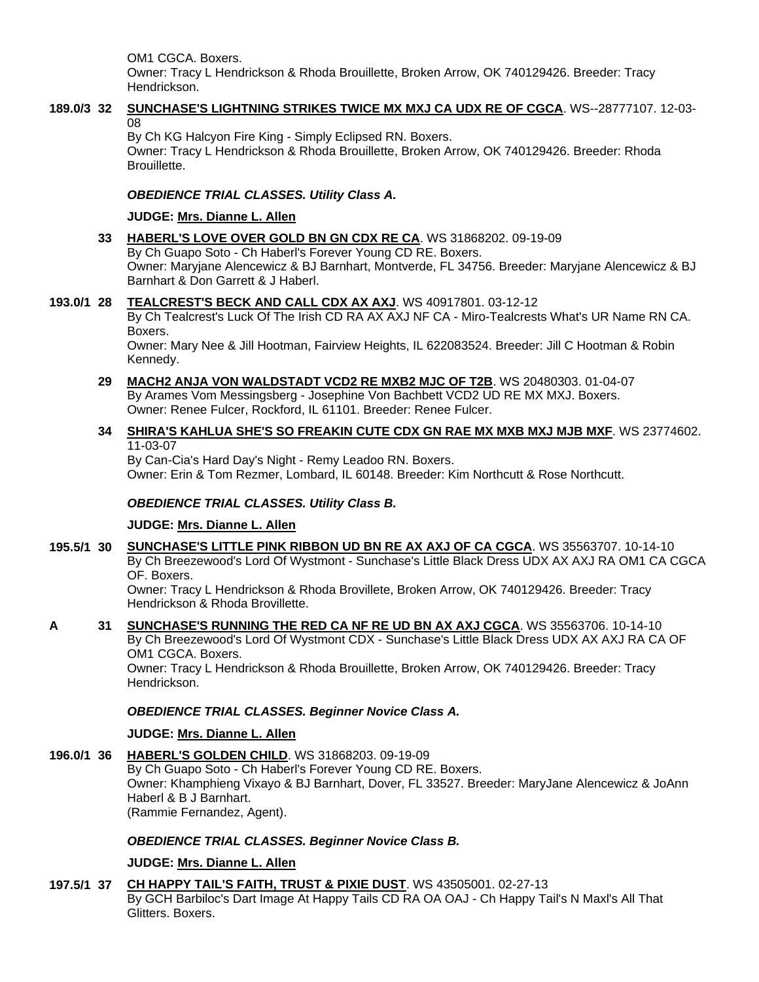OM1 CGCA. Boxers.

Owner: Tracy L Hendrickson & Rhoda Brouillette, Broken Arrow, OK 740129426. Breeder: Tracy Hendrickson.

### **189.0/3 32 [SUNCHASE'S LIGHTNING STRIKES TWICE MX MXJ CA UDX RE OF CGCA](http://www.infodog.com/files/bdogrsl1.prg;makc=WS--28777107;mdog=Sunchase_s_Lightning_Strikes_Twice_MX_MXJ_CA_UDX_RE_OF_CGCA;wins=all)**. WS--28777107. 12-03- 08

By Ch KG Halcyon Fire King - Simply Eclipsed RN. Boxers.

Owner: Tracy L Hendrickson & Rhoda Brouillette, Broken Arrow, OK 740129426. Breeder: Rhoda Brouillette.

### *OBEDIENCE TRIAL CLASSES. Utility Class A.*

### **JUDGE: [Mrs. Dianne L. Allen](http://www.infodog.com/judges/5494/juddat.htm)**

**33 [HABERL'S LOVE OVER GOLD BN GN CDX RE CA](http://www.infodog.com/files/bdogrsl1.prg;makc=WS%2031868202;mdog=Haberl_s_Love_Over_Gold_BN_GN_CDX_RE_CA;wins=all)**. WS 31868202. 09-19-09 By Ch Guapo Soto - Ch Haberl's Forever Young CD RE. Boxers. Owner: Maryjane Alencewicz & BJ Barnhart, Montverde, FL 34756. Breeder: Maryjane Alencewicz & BJ Barnhart & Don Garrett & J Haberl.

## **193.0/1 28 [TEALCREST'S BECK AND CALL CDX AX AXJ](http://www.infodog.com/files/bdogrsl1.prg;makc=WS%2040917801;mdog=Tealcrest_s_Beck_And_Call_CDX_AX_AXJ;wins=all)**. WS 40917801. 03-12-12

By Ch Tealcrest's Luck Of The Irish CD RA AX AXJ NF CA - Miro-Tealcrests What's UR Name RN CA. Boxers.

Owner: Mary Nee & Jill Hootman, Fairview Heights, IL 622083524. Breeder: Jill C Hootman & Robin Kennedy.

#### **29 [MACH2 ANJA VON WALDSTADT VCD2 RE MXB2 MJC OF T2B](http://www.infodog.com/files/bdogrsl1.prg;makc=WS%2020480303;mdog=MACH2_Anja_Von_Waldstadt_VCD2_RE_MXB2_MJC_OF_T2B;wins=all)**. WS 20480303. 01-04-07 By Arames Vom Messingsberg - Josephine Von Bachbett VCD2 UD RE MX MXJ. Boxers. Owner: Renee Fulcer, Rockford, IL 61101. Breeder: Renee Fulcer.

## **34 [SHIRA'S KAHLUA SHE'S SO FREAKIN CUTE CDX GN RAE MX MXB MXJ MJB MXF](http://www.infodog.com/files/bdogrsl1.prg;makc=WS%2023774602;mdog=Shira_s_Kahlua_She_s_So_Freakin_Cute_CDX_GN_RAE_MX_MXB_MXJ_MJB_MXF;wins=all)**. WS 23774602. 11-03-07

By Can-Cia's Hard Day's Night - Remy Leadoo RN. Boxers. Owner: Erin & Tom Rezmer, Lombard, IL 60148. Breeder: Kim Northcutt & Rose Northcutt.

## *OBEDIENCE TRIAL CLASSES. Utility Class B.*

## **JUDGE: [Mrs. Dianne L. Allen](http://www.infodog.com/judges/5494/juddat.htm)**

**195.5/1 30 [SUNCHASE'S LITTLE PINK RIBBON UD BN RE AX AXJ OF CA CGCA](http://www.infodog.com/files/bdogrsl1.prg;makc=WS%2035563707;mdog=Sunchase_s_Little_Pink_Ribbon_UD_BN_RE_AX_AXJ_OF_CA_CGCA;wins=all)**. WS 35563707. 10-14-10 By Ch Breezewood's Lord Of Wystmont - Sunchase's Little Black Dress UDX AX AXJ RA OM1 CA CGCA OF. Boxers.

Owner: Tracy L Hendrickson & Rhoda Brovillete, Broken Arrow, OK 740129426. Breeder: Tracy Hendrickson & Rhoda Brovillette.

**A 31 [SUNCHASE'S RUNNING THE RED CA NF RE UD BN AX AXJ CGCA](http://www.infodog.com/files/bdogrsl1.prg;makc=WS%2035563706;mdog=Sunchase_s_Running_The_Red_CA_NF_RE_UD_BN_AX_AXJ_CGCA;wins=all)**. WS 35563706. 10-14-10 By Ch Breezewood's Lord Of Wystmont CDX - Sunchase's Little Black Dress UDX AX AXJ RA CA OF OM1 CGCA. Boxers. Owner: Tracy L Hendrickson & Rhoda Brouillette, Broken Arrow, OK 740129426. Breeder: Tracy Hendrickson.

## *OBEDIENCE TRIAL CLASSES. Beginner Novice Class A.*

### **JUDGE: [Mrs. Dianne L. Allen](http://www.infodog.com/judges/5494/juddat.htm)**

**196.0/1 36 [HABERL'S GOLDEN CHILD](http://www.infodog.com/files/bdogrsl1.prg;makc=WS%2031868203;mdog=Haberl_s_Golden_Child;wins=all)**. WS 31868203. 09-19-09

By Ch Guapo Soto - Ch Haberl's Forever Young CD RE. Boxers. Owner: Khamphieng Vixayo & BJ Barnhart, Dover, FL 33527. Breeder: MaryJane Alencewicz & JoAnn Haberl & B J Barnhart. (Rammie Fernandez, Agent).

### *OBEDIENCE TRIAL CLASSES. Beginner Novice Class B.*

## **JUDGE: [Mrs. Dianne L. Allen](http://www.infodog.com/judges/5494/juddat.htm)**

**197.5/1 37 [CH HAPPY TAIL'S FAITH, TRUST & PIXIE DUST](http://www.infodog.com/files/bdogrsl1.prg;makc=WS%2043505001;mdog=Ch_Happy_Tail_s_Faith,_Trust_&_Pixie_Dust;wins=all)**. WS 43505001. 02-27-13 By GCH Barbiloc's Dart Image At Happy Tails CD RA OA OAJ - Ch Happy Tail's N Maxl's All That Glitters. Boxers.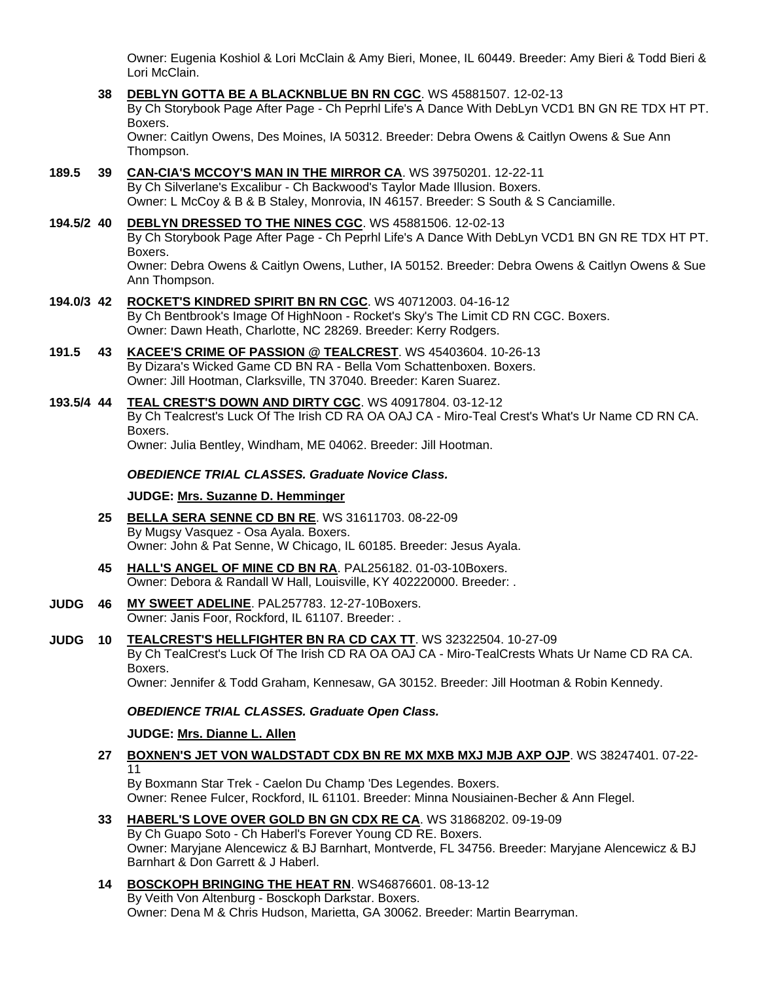Owner: Eugenia Koshiol & Lori McClain & Amy Bieri, Monee, IL 60449. Breeder: Amy Bieri & Todd Bieri & Lori McClain.

**38 [DEBLYN GOTTA BE A BLACKNBLUE BN RN CGC](http://www.infodog.com/files/bdogrsl1.prg;makc=WS%2045881507;mdog=DebLyn_Gotta_Be_A_BlackNBlue_BN_RN_CGC;wins=all)**. WS 45881507. 12-02-13 By Ch Storybook Page After Page - Ch Peprhl Life's A Dance With DebLyn VCD1 BN GN RE TDX HT PT. Boxers. Owner: Caitlyn Owens, Des Moines, IA 50312. Breeder: Debra Owens & Caitlyn Owens & Sue Ann

Thompson.

**189.5 39 [CAN-CIA'S MCCOY'S MAN IN THE MIRROR CA](http://www.infodog.com/files/bdogrsl1.prg;makc=WS%2039750201;mdog=Can-cia_s_McCoy_s_Man_In_The_Mirror_CA;wins=all)**. WS 39750201. 12-22-11 By Ch Silverlane's Excalibur - Ch Backwood's Taylor Made Illusion. Boxers. Owner: L McCoy & B & B Staley, Monrovia, IN 46157. Breeder: S South & S Canciamille.

**194.5/2 40 [DEBLYN DRESSED TO THE NINES CGC](http://www.infodog.com/files/bdogrsl1.prg;makc=WS%2045881506;mdog=DebLyn_Dressed_To_The_Nines_CGC;wins=all)**. WS 45881506. 12-02-13 By Ch Storybook Page After Page - Ch Peprhl Life's A Dance With DebLyn VCD1 BN GN RE TDX HT PT. Boxers. Owner: Debra Owens & Caitlyn Owens, Luther, IA 50152. Breeder: Debra Owens & Caitlyn Owens & Sue Ann Thompson.

- **194.0/3 42 [ROCKET'S KINDRED SPIRIT BN RN CGC](http://www.infodog.com/files/bdogrsl1.prg;makc=WS%2040712003;mdog=Rocket_s_Kindred_Spirit_BN_RN_CGC;wins=all)**. WS 40712003. 04-16-12 By Ch Bentbrook's Image Of HighNoon - Rocket's Sky's The Limit CD RN CGC. Boxers. Owner: Dawn Heath, Charlotte, NC 28269. Breeder: Kerry Rodgers.
- **191.5 43 [KACEE'S CRIME OF PASSION @ TEALCREST](http://www.infodog.com/files/bdogrsl1.prg;makc=WS%2045403604;mdog=KaCee_s_Crime_Of_Passion_@_Tealcrest;wins=all)**. WS 45403604. 10-26-13 By Dizara's Wicked Game CD BN RA - Bella Vom Schattenboxen. Boxers. Owner: Jill Hootman, Clarksville, TN 37040. Breeder: Karen Suarez.
- **193.5/4 44 [TEAL CREST'S DOWN AND DIRTY CGC](http://www.infodog.com/files/bdogrsl1.prg;makc=WS%2040917804;mdog=Teal_Crest_s_Down_And_Dirty_CGC;wins=all)**. WS 40917804. 03-12-12 By Ch Tealcrest's Luck Of The Irish CD RA OA OAJ CA - Miro-Teal Crest's What's Ur Name CD RN CA. Boxers. Owner: Julia Bentley, Windham, ME 04062. Breeder: Jill Hootman.

### *OBEDIENCE TRIAL CLASSES. Graduate Novice Class.*

#### **JUDGE: [Mrs. Suzanne D. Hemminger](http://www.infodog.com/judges/15146/juddat.htm)**

- **25 [BELLA SERA SENNE CD BN RE](http://www.infodog.com/files/bdogrsl1.prg;makc=WS%2031611703;mdog=Bella_Sera_Senne_CD_BN_RE;wins=all)**. WS 31611703. 08-22-09 By Mugsy Vasquez - Osa Ayala. Boxers. Owner: John & Pat Senne, W Chicago, IL 60185. Breeder: Jesus Ayala.
- **45 [HALL'S ANGEL OF MINE CD BN RA](http://www.infodog.com/files/bdogrsl1.prg;makc=PAL256182;mdog=Hall_s_Angel_Of_Mine_CD_BN_RA;wins=all)**. PAL256182. 01-03-10Boxers. Owner: Debora & Randall W Hall, Louisville, KY 402220000. Breeder: .
- **JUDG 46 [MY SWEET ADELINE](http://www.infodog.com/files/bdogrsl1.prg;makc=PAL257783;mdog=My_Sweet_Adeline;wins=all)**. PAL257783. 12-27-10Boxers. Owner: Janis Foor, Rockford, IL 61107. Breeder: .
- **JUDG 10 [TEALCREST'S HELLFIGHTER BN RA CD CAX TT](http://www.infodog.com/files/bdogrsl1.prg;makc=WS%2032322504;mdog=TealCrest_s_Hellfighter_BN_RA_CD_CAX_TT;wins=all)**. WS 32322504. 10-27-09 By Ch TealCrest's Luck Of The Irish CD RA OA OAJ CA - Miro-TealCrests Whats Ur Name CD RA CA. Boxers.

Owner: Jennifer & Todd Graham, Kennesaw, GA 30152. Breeder: Jill Hootman & Robin Kennedy.

### *OBEDIENCE TRIAL CLASSES. Graduate Open Class.*

### **JUDGE: [Mrs. Dianne L. Allen](http://www.infodog.com/judges/5494/juddat.htm)**

**27 [BOXNEN'S JET VON WALDSTADT CDX BN RE MX MXB MXJ MJB AXP OJP](http://www.infodog.com/files/bdogrsl1.prg;makc=WS%2038247401;mdog=Boxnen_s_Jet_Von_Waldstadt_CDX_BN_RE_MX_MXB_MXJ_MJB_AXP_OJP;wins=all)**. WS 38247401. 07-22- 11

By Boxmann Star Trek - Caelon Du Champ 'Des Legendes. Boxers. Owner: Renee Fulcer, Rockford, IL 61101. Breeder: Minna Nousiainen-Becher & Ann Flegel.

- **33 [HABERL'S LOVE OVER GOLD BN GN CDX RE CA](http://www.infodog.com/files/bdogrsl1.prg;makc=WS%2031868202;mdog=Haberl_s_Love_Over_Gold_BN_GN_CDX_RE_CA;wins=all)**. WS 31868202. 09-19-09 By Ch Guapo Soto - Ch Haberl's Forever Young CD RE. Boxers. Owner: Maryjane Alencewicz & BJ Barnhart, Montverde, FL 34756. Breeder: Maryjane Alencewicz & BJ Barnhart & Don Garrett & J Haberl.
- **14 [BOSCKOPH BRINGING THE HEAT RN](http://www.infodog.com/files/bdogrsl1.prg;makc=WS46876601;mdog=Bosckoph_Bringing_The_Heat_RN;wins=all)**. WS46876601. 08-13-12 By Veith Von Altenburg - Bosckoph Darkstar. Boxers. Owner: Dena M & Chris Hudson, Marietta, GA 30062. Breeder: Martin Bearryman.